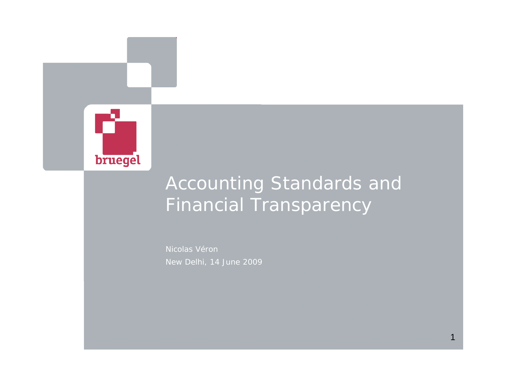

# Accounting Standards and Financial Transparency

Nicolas Véron New Delhi, 14 June 2009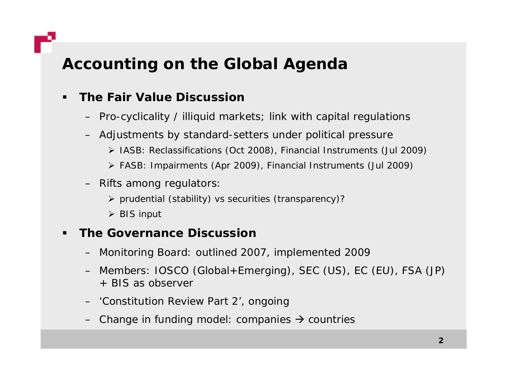# **Accounting on the Global Agenda**

### $\blacksquare$ **The Fair Value Discussion**

- Pro-cyclicality / illiquid markets; link with capital regulations
- Adjustments by standard-setters under political pressure
	- ¾ IASB: Reclassifications (Oct 2008), Financial Instruments (Jul 2009)
	- ¾ FASB: Impairments (Apr 2009), Financial Instruments (Jul 2009)
- Rifts among regulators:
	- ¾ prudential (stability) vs securities (transparency)?
	- ¾ BIS input

#### $\blacksquare$ **The Governance Discussion**

- Monitoring Board: outlined 2007, implemented 2009
- Members: IOSCO (Global+Emerging), SEC (US), EC (EU), FSA (JP) + BIS as observer
- 'Constitution Review Part 2', ongoing
- Change in funding model: companies  $\rightarrow$  countries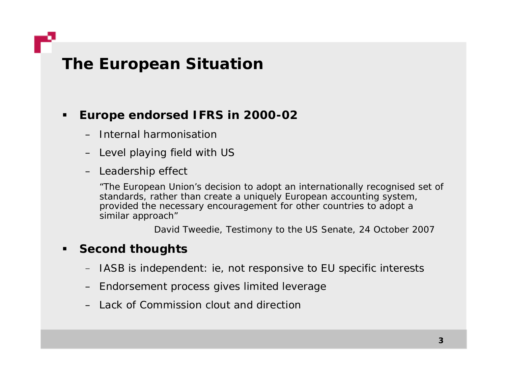### **The European Situation**

#### $\blacksquare$ **Europe endorsed IFRS in 2000-02**

- Internal harmonisation
- Level playing field with US
- Leadership effect

*"The European Union's decision to adopt an internationally recognised set of standards, rather than create a uniquely European accounting system, provided the necessary encouragement for other countries to adopt a similar approach"*

David Tweedie, Testimony to the US Senate, 24 October 2007

#### $\blacksquare$ **Second thoughts**

- $-$  IASB is independent: ie, not responsive to EU specific interests
- Endorsement process gives limited leverage
- Lack of Commission clout and direction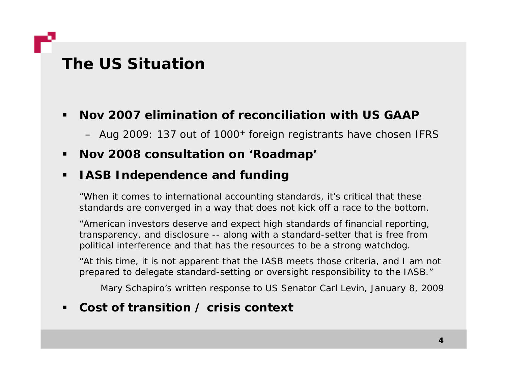### **The US Situation**

#### $\blacksquare$ **Nov 2007 elimination of reconciliation with US GAAP**

– Aug 2009: 137 out of 1000+ foreign registrants have chosen IFRS

#### $\blacksquare$ **Nov 2008 consultation on 'Roadmap'**

#### $\blacksquare$ **IAS d d d f di SB Independence and funding**

*"When it comes to international accounting standards, it's critical that these standards are converged in a way that does not kick off a race to the bottom.* 

*"American investors deserve and expect high standards of financial reporting, transparency, and disclosure -- along with a standard-setter that is free from political interference and that has the resources to be a strong watchdog.* 

*"At this time, it is not apparent that the IASB meets those criteria, and I am not*  prepared to delegate standard-setting or oversight responsibility to the IASB."

Mary Schapiro's written response to US Senator Carl Levin, January 8, 2009

#### $\blacksquare$ **Cost of transition / crisis context**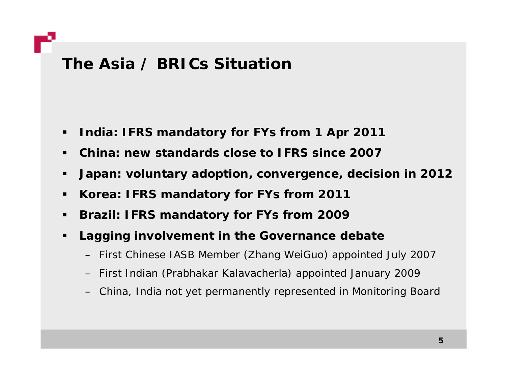### **The Asia / BRICs Situation**

- $\blacksquare$ **India: IFRS mandatory for FYs from 1 Apr 2011**
- $\blacksquare$ **China: new standards close to IFRS since 2007**
- $\blacksquare$ • Japan: voluntary adoption, convergence, decision in 2012
- $\blacksquare$ **Korea: IFRS mandatory for FYs from 2011**
- $\blacksquare$ **Brazil: IFRS mandator y for FYs from 2009**
- $\blacksquare$  **Lagging involvement in the Governance debate**
	- First Chinese IASB Member (Zhang WeiGuo) appointed July 2007
	- First Indian (Prabhakar Kalavacherla) appointed January 2009
	- China, India not yet permanently represented in Monitoring Board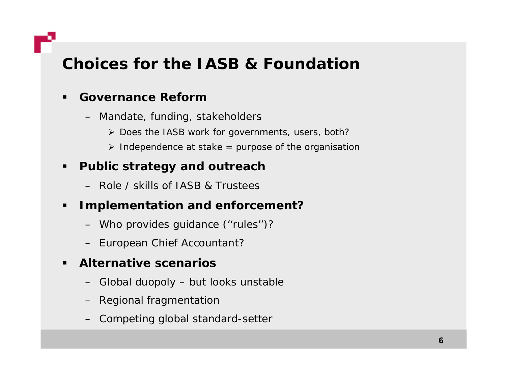## **Choices for the IASB & Foundation**

#### $\blacksquare$ **Governance Reform**

- Mandate, funding, stakeholders
	- ¾ Does the IASB work for governments, users, both?
	- ¾ Independence at stake = purpose of the organisation

#### $\blacksquare$ **Public strategy and outreach**

– Role / skills of IASB & Trustees

#### $\blacksquare$ **Implementation and enforcement?**

- Who provides guidance (''rules'')?
- European Chief Accountant?

#### $\blacksquare$ **Alternative scenarios**

- Global duopoly but looks unstable
- Regional fragmentation
- Competing global standard-setter